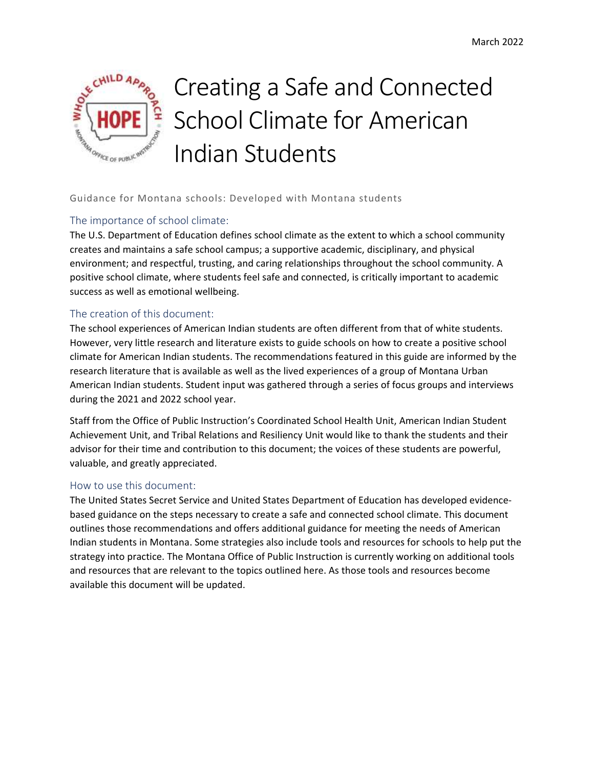

# Creating a Safe and Connected School Climate for American Indian Students

## Guidance for Montana schools: Developed with Montana students

#### The importance of school climate:

The U.S. Department of Education defines school climate as the extent to which a school community creates and maintains a safe school campus; a supportive academic, disciplinary, and physical environment; and respectful, trusting, and caring relationships throughout the school community. A positive school climate, where students feel safe and connected, is critically important to academic success as well as emotional wellbeing.

#### The creation of this document:

The school experiences of American Indian students are often different from that of white students. However, very little research and literature exists to guide schools on how to create a positive school climate for American Indian students. The recommendations featured in this guide are informed by the research literature that is available as well as the lived experiences of a group of Montana Urban American Indian students. Student input was gathered through a series of focus groups and interviews during the 2021 and 2022 school year.

 Staff from the Office of Public Instruction's Coordinated School Health Unit, American Indian Student Achievement Unit, and Tribal Relations and Resiliency Unit would like to thank the students and their advisor for their time and contribution to this document; the voices of these students are powerful, valuable, and greatly appreciated.

#### How to use this document:

The United States Secret Service and United States Department of Education has developed evidencebased guidance on the steps necessary to create a safe and connected school climate. This document outlines those recommendations and offers additional guidance for meeting the needs of American Indian students in Montana. Some strategies also include tools and resources for schools to help put the strategy into practice. The Montana Office of Public Instruction is currently working on additional tools and resources that are relevant to the topics outlined here. As those tools and resources become available this document will be updated.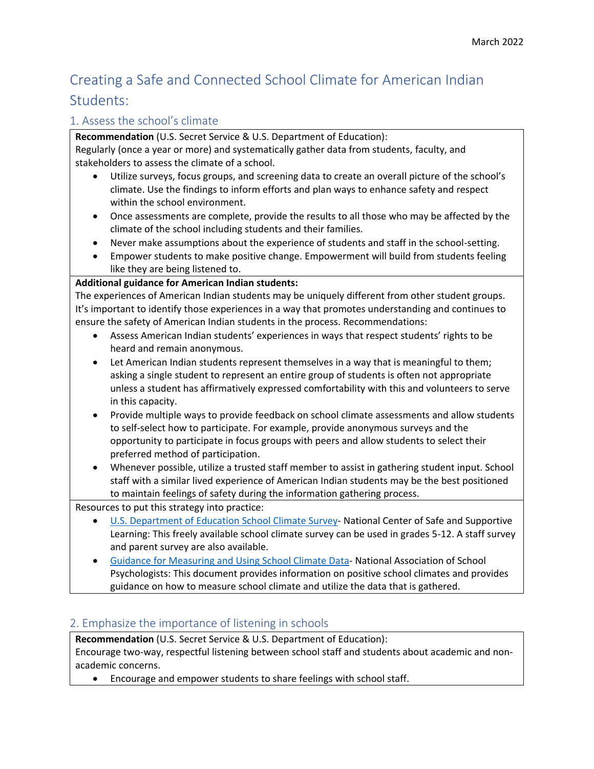# Creating a Safe and Connected School Climate for American Indian Students:

# 1. Assess the school's climate

**Recommendation** (U.S. Secret Service & U.S. Department of Education): Regularly (once a year or more) and systematically gather data from students, faculty, and stakeholders to assess the climate of a school.

- Utilize surveys, focus groups, and screening data to create an overall picture of the school's climate. Use the findings to inform efforts and plan ways to enhance safety and respect within the school environment.
- Once assessments are complete, provide the results to all those who may be affected by the climate of the school including students and their families.
- Never make assumptions about the experience of students and staff in the school-setting.
- Empower students to make positive change. Empowerment will build from students feeling like they are being listened to.

## **Additional guidance for American Indian students:**

The experiences of American Indian students may be uniquely different from other student groups. It's important to identify those experiences in a way that promotes understanding and continues to ensure the safety of American Indian students in the process. Recommendations:

- Assess American Indian students' experiences in ways that respect students' rights to be heard and remain anonymous.
- Let American Indian students represent themselves in a way that is meaningful to them; asking a single student to represent an entire group of students is often not appropriate unless a student has affirmatively expressed comfortability with this and volunteers to serve in this capacity.
- Provide multiple ways to provide feedback on school climate assessments and allow students to self-select how to participate. For example, provide anonymous surveys and the opportunity to participate in focus groups with peers and allow students to select their preferred method of participation.
- Whenever possible, utilize a trusted staff member to assist in gathering student input. School staff with a similar lived experience of American Indian students may be the best positioned to maintain feelings of safety during the information gathering process.

Resources to put this strategy into practice:

- [U.S. Department of Education School Climate Survey-](https://safesupportivelearning.ed.gov/survey/us-department-education-school-climate-survey-edscls) National Center of Safe and Supportive Learning: This freely available school climate survey can be used in grades 5-12. A staff survey and parent survey are also available.
- [Guidance for Measuring and Using School Climate Data-](https://www.nasponline.org/resources-and-publications/resources-and-podcasts/school-safety-and-crisis/systems-level-prevention/guidance-for-measuring-and-using-school-climate-data) National Association of School Psychologists: This document provides information on positive school climates and provides guidance on how to measure school climate and utilize the data that is gathered.

# 2. Emphasize the importance of listening in schools

**Recommendation** (U.S. Secret Service & U.S. Department of Education):

Encourage two-way, respectful listening between school staff and students about academic and nonacademic concerns.

• Encourage and empower students to share feelings with school staff.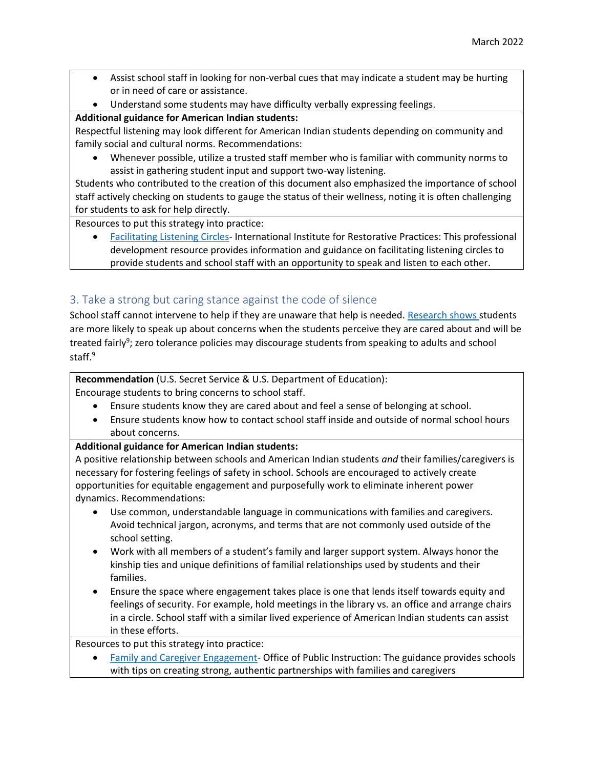- Assist school staff in looking for non-verbal cues that may indicate a student may be hurting or in need of care or assistance.
- Understand some students may have difficulty verbally expressing feelings.

# **Additional guidance for American Indian students:**

Respectful listening may look different for American Indian students depending on community and family social and cultural norms. Recommendations:

• Whenever possible, utilize a trusted staff member who is familiar with community norms to assist in gathering student input and support two-way listening.

Students who contributed to the creation of this document also emphasized the importance of school staff actively checking on students to gauge the status of their wellness, noting it is often challenging for students to ask for help directly.

Resources to put this strategy into practice:

• [Facilitating Listening Circles-](https://www.iirp.edu/professional-development/facilitating-listening-circles#:~:text=With%20roots%20in%20indigenous%20cultures,emphasize%20storytelling%20for%20cultivating%20empathy.) International Institute for Restorative Practices: This professional development resource provides information and guidance on facilitating listening circles to provide students and school staff with an opportunity to speak and listen to each other.

# 3. Take a strong but caring stance against the code of silence

School staff cannot intervene to help if they are unaware that help is needed. [Research shows s](https://www.ncbi.nlm.nih.gov/pmc/articles/PMC2745177/pdf/nihms-123173.pdf)tudents are more likely to speak up about concerns when the students perceive they are cared about and will be treated fairly<sup>9</sup>; zero tolerance policies may discourage students from speaking to adults and school staff.<sup>9</sup>

**Recommendation** (U.S. Secret Service & U.S. Department of Education):

Encourage students to bring concerns to school staff.

- Ensure students know they are cared about and feel a sense of belonging at school.
- Ensure students know how to contact school staff inside and outside of normal school hours about concerns.

# **Additional guidance for American Indian students:**

A positive relationship between schools and American Indian students *and* their families/caregivers is necessary for fostering feelings of safety in school. Schools are encouraged to actively create opportunities for equitable engagement and purposefully work to eliminate inherent power dynamics. Recommendations:

- Use common, understandable language in communications with families and caregivers. Avoid technical jargon, acronyms, and terms that are not commonly used outside of the school setting.
- Work with all members of a student's family and larger support system. Always honor the kinship ties and unique definitions of familial relationships used by students and their families.
- Ensure the space where engagement takes place is one that lends itself towards equity and feelings of security. For example, hold meetings in the library vs. an office and arrange chairs in a circle. School staff with a similar lived experience of American Indian students can assist in these efforts.

Resources to put this strategy into practice:

• [Family and Caregiver Engagement-](https://opi.mt.gov/Educators/School-Climate-Student-Wellness/Social-Emotional-Learning/Planning-for-SEL#10431111527-family-and-caregiver-engagement) Office of Public Instruction: The guidance provides schools with tips on creating strong, authentic partnerships with families and caregivers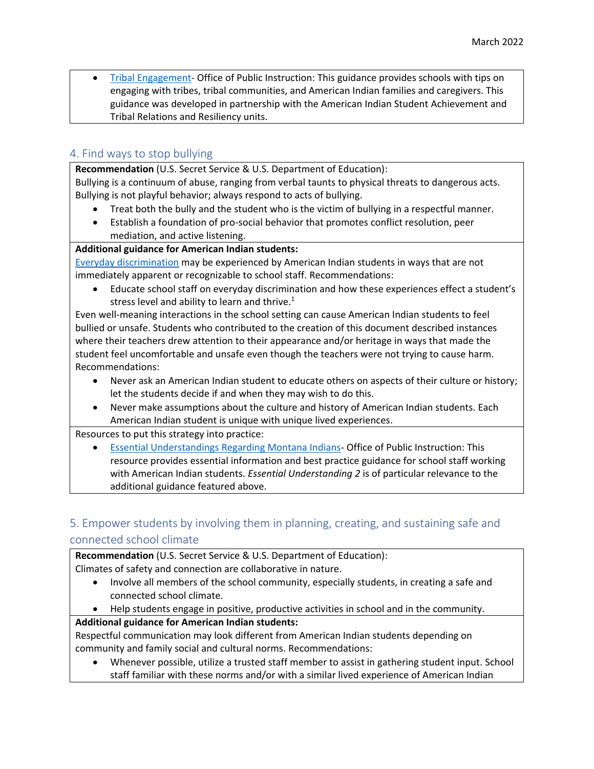• [Tribal Engagement-](https://opi.mt.gov/Educators/School-Climate-Student-Wellness/Social-Emotional-Learning/Planning-for-SEL#10431111528-tribal-engagement) Office of Public Instruction: This guidance provides schools with tips on engaging with tribes, tribal communities, and American Indian families and caregivers. This guidance was developed in partnership with the American Indian Student Achievement and Tribal Relations and Resiliency units.

# 4. Find ways to stop bullying

**Recommendation** (U.S. Secret Service & U.S. Department of Education): Bullying is a continuum of abuse, ranging from verbal taunts to physical threats to dangerous acts.

Bullying is not playful behavior; always respond to acts of bullying.

- Treat both the bully and the student who is the victim of bullying in a respectful manner.
- Establish a foundation of pro-social behavior that promotes conflict resolution, peer mediation, and active listening.

#### **Additional guidance for American Indian students:**

[Everyday discrimination](https://scholar.harvard.edu/davidrwilliams/node/32397) may be experienced by American Indian students in ways that are not immediately apparent or recognizable to school staff. Recommendations:

• Educate school staff on everyday discrimination and how these experiences effect a student's stress level and ability to learn and thrive. $1$ 

 bullied or unsafe. Students who contributed to the creation of this document described instances Even well-meaning interactions in the school setting can cause American Indian students to feel where their teachers drew attention to their appearance and/or heritage in ways that made the student feel uncomfortable and unsafe even though the teachers were not trying to cause harm. Recommendations:

- Never ask an American Indian student to educate others on aspects of their culture or history; let the students decide if and when they may wish to do this.
- Never make assumptions about the culture and history of American Indian students. Each American Indian student is unique with unique lived experiences.

Resources to put this strategy into practice:

 additional guidance featured above. • [Essential Understandings Regarding Montana Indians-](https://opi.mt.gov/Portals/182/Page%20Files/Indian%20Education/Indian%20Education%20101/essentialunderstandings.pdf) Office of Public Instruction: This resource provides essential information and best practice guidance for school staff working with American Indian students. *Essential Understanding 2* is of particular relevance to the

# 5. Empower students by involving them in planning, creating, and sustaining safe and connected school climate

**Recommendation** (U.S. Secret Service & U.S. Department of Education): Climates of safety and connection are collaborative in nature.

- Involve all members of the school community, especially students, in creating a safe and connected school climate.
- Help students engage in positive, productive activities in school and in the community.

## **Additional guidance for American Indian students:**

Respectful communication may look different from American Indian students depending on community and family social and cultural norms. Recommendations:

• Whenever possible, utilize a trusted staff member to assist in gathering student input. School staff familiar with these norms and/or with a similar lived experience of American Indian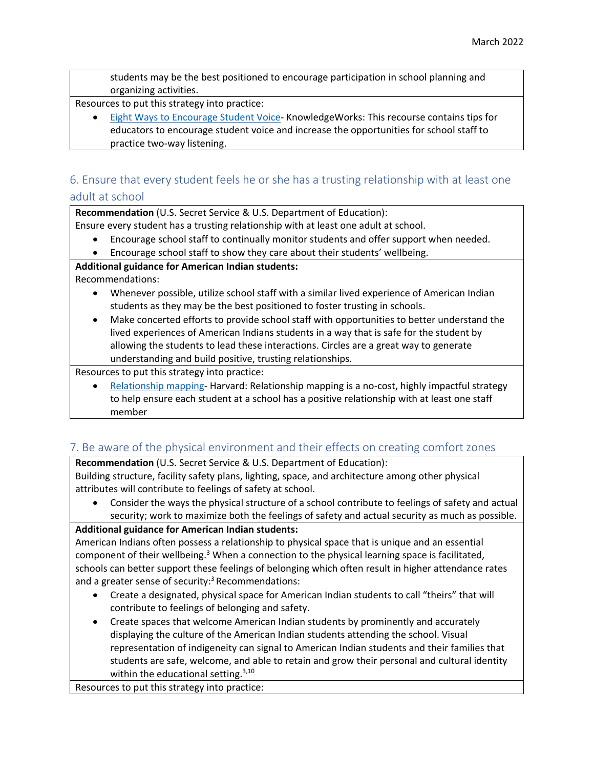students may be the best positioned to encourage participation in school planning and organizing activities.

Resources to put this strategy into practice:

• [Eight Ways to Encourage Student Voice-](https://knowledgeworks.org/resources/8-ways-encourage-student-voice/) KnowledgeWorks: This recourse contains tips for educators to encourage student voice and increase the opportunities for school staff to practice two-way listening.

# 6. Ensure that every student feels he or she has a trusting relationship with at least one adult at school

**Recommendation** (U.S. Secret Service & U.S. Department of Education):

Ensure every student has a trusting relationship with at least one adult at school.

- Encourage school staff to continually monitor students and offer support when needed.
- Encourage school staff to show they care about their students' wellbeing.

**Additional guidance for American Indian students:** 

Recommendations:

- Whenever possible, utilize school staff with a similar lived experience of American Indian students as they may be the best positioned to foster trusting in schools.
- Make concerted efforts to provide school staff with opportunities to better understand the lived experiences of American Indians students in a way that is safe for the student by allowing the students to lead these interactions. Circles are a great way to generate understanding and build positive, trusting relationships.

Resources to put this strategy into practice:

• [Relationship mapping-](https://mcc.gse.harvard.edu/resources-for-educators/relationship-mapping-strategy) Harvard: Relationship mapping is a no-cost, highly impactful strategy to help ensure each student at a school has a positive relationship with at least one staff member

# 7. Be aware of the physical environment and their effects on creating comfort zones

**Recommendation** (U.S. Secret Service & U.S. Department of Education): Building structure, facility safety plans, lighting, space, and architecture among other physical attributes will contribute to feelings of safety at school.

• Consider the ways the physical structure of a school contribute to feelings of safety and actual security; work to maximize both the feelings of safety and actual security as much as possible.

## **Additional guidance for American Indian students:**

American Indians often possess a relationship to physical space that is unique and an essential component of their wellbeing.<sup>3</sup> When a connection to the physical learning space is facilitated, schools can better support these feelings of belonging which often result in higher attendance rates and a greater sense of security: 3 Recommendations:

- Create a designated, physical space for American Indian students to call "theirs" that will contribute to feelings of belonging and safety.
- Create spaces that welcome American Indian students by prominently and accurately displaying the culture of the American Indian students attending the school. Visual representation of indigeneity can signal to American Indian students and their families that students are safe, welcome, and able to retain and grow their personal and cultural identity within the educational setting. $3,10$

Resources to put this strategy into practice: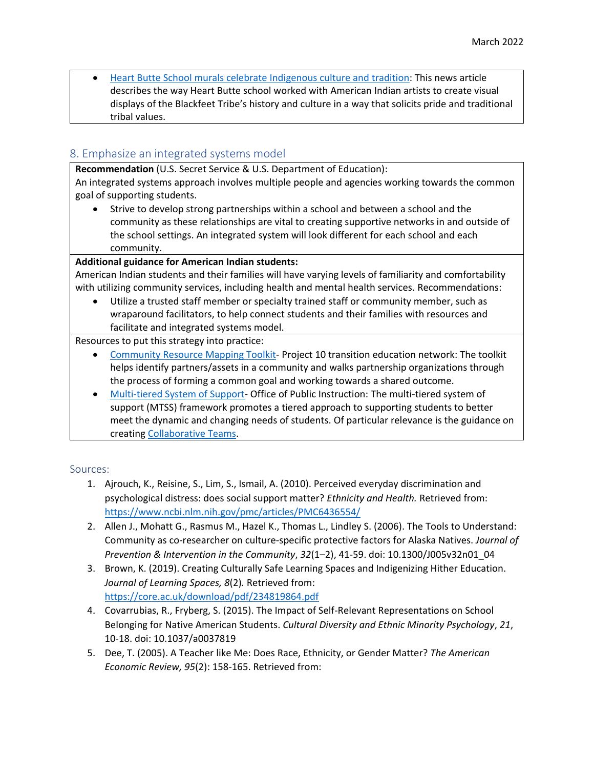displays of the Blackfeet Tribe's history and culture in a way that solicits pride and traditional • [Heart Butte School murals celebrate Indigenous culture and tradition:](https://www.greatfallstribune.com/story/news/2020/09/10/murals-heart-butte-school-john-pepion-louis-still-smoking-blackfeet/5749464002/) This news article describes the way Heart Butte school worked with American Indian artists to create visual tribal values.

# 8. Emphasize an integrated systems model

**Recommendation** (U.S. Secret Service & U.S. Department of Education):

An integrated systems approach involves multiple people and agencies working towards the common goal of supporting students.

• Strive to develop strong partnerships within a school and between a school and the community as these relationships are vital to creating supportive networks in and outside of the school settings. An integrated system will look different for each school and each community.

## **Additional guidance for American Indian students:**

American Indian students and their families will have varying levels of familiarity and comfortability with utilizing community services, including health and mental health services. Recommendations:

• Utilize a trusted staff member or specialty trained staff or community member, such as wraparound facilitators, to help connect students and their families with resources and facilitate and integrated systems model.

## Resources to put this strategy into practice:

- [Community Resource Mapping Toolkit-](http://project10.info/files/CommunityResourceMapToolkit5.08.14.pdf) Project 10 transition education network: The toolkit helps identify partners/assets in a community and walks partnership organizations through the process of forming a common goal and working towards a shared outcome.
- [Multi-tiered System of Support-](https://opi.mt.gov/Educators/Teaching-Learning/Multi-Tiered-Systems-of-Support/MTSS-Essential-Components) Office of Public Instruction: The multi-tiered system of support (MTSS) framework promotes a tiered approach to supporting students to better meet the dynamic and changing needs of students. Of particular relevance is the guidance on creatin[g Collaborative Teams.](https://opi.mt.gov/Educators/Teaching-Learning/Multi-Tiered-Systems-of-Support/MTSS-Essential-Components#teams)

#### Sources:

- 1. Ajrouch, K., Reisine, S., Lim, S., Ismail, A. (2010). Perceived everyday discrimination and psychological distress: does social support matter? *Ethnicity and Health.* Retrieved from: <https://www.ncbi.nlm.nih.gov/pmc/articles/PMC6436554/>
- 2. Allen J., Mohatt G., Rasmus M., Hazel K., Thomas L., Lindley S. (2006). The Tools to Understand: Community as co-researcher on culture-specific protective factors for Alaska Natives. *Journal of Prevention & Intervention in the Community*, *32*(1–2), 41-59. doi: 10.1300/J005v32n01\_04
- 3. Brown, K. (2019). Creating Culturally Safe Learning Spaces and Indigenizing Hither Education. *Journal of Learning Spaces, 8*(2)*.* Retrieved from: <https://core.ac.uk/download/pdf/234819864.pdf>
- 4. Covarrubias, R., Fryberg, S. (2015). The Impact of Self-Relevant Representations on School Belonging for Native American Students. *Cultural Diversity and Ethnic Minority Psychology*, *21*, 10-18. doi: 10.1037/a0037819
- 5. Dee, T. (2005). A Teacher like Me: Does Race, Ethnicity, or Gender Matter? *The American Economic Review, 95*(2): 158-165. Retrieved from: